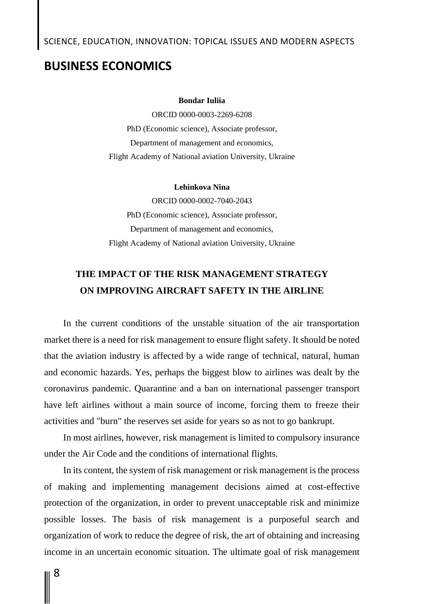### **BUSINESS ECONOMICS**

#### **Bondar Iuliia**

ORCID 0000-0003-2269-6208 PhD (Economic science), Associate professor, Department of management and economics, Flight Academy of National aviation University, Ukraine

#### **Lehinkova Nina**

ORCID 0000-0002-7040-2043 PhD (Economic science), Associate professor, Department of management and economics, Flight Academy of National aviation University, Ukraine

## **THE IMPACT OF THE RISK MANAGEMENT STRATEGY ON IMPROVING AIRCRAFT SAFETY IN THE AIRLINE**

In the current conditions of the unstable situation of the air transportation market there is a need for risk management to ensure flight safety. It should be noted that the aviation industry is affected by a wide range of technical, natural, human and economic hazards. Yes, perhaps the biggest blow to airlines was dealt by the coronavirus pandemic. Quarantine and a ban on international passenger transport have left airlines without a main source of income, forcing them to freeze their activities and "burn" the reserves set aside for years so as not to go bankrupt.

In most airlines, however, risk management is limited to compulsory insurance under the Air Code and the conditions of international flights.

In its content, the system of risk management or risk management is the process of making and implementing management decisions aimed at cost-effective protection of the organization, in order to prevent unacceptable risk and minimize possible losses. The basis of risk management is a purposeful search and organization of work to reduce the degree of risk, the art of obtaining and increasing income in an uncertain economic situation. The ultimate goal of risk management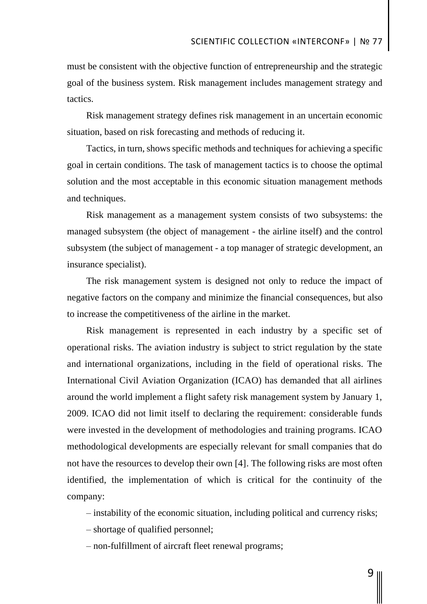must be consistent with the objective function of entrepreneurship and the strategic goal of the business system. Risk management includes management strategy and tactics.

Risk management strategy defines risk management in an uncertain economic situation, based on risk forecasting and methods of reducing it.

Tactics, in turn, shows specific methods and techniques for achieving a specific goal in certain conditions. The task of management tactics is to choose the optimal solution and the most acceptable in this economic situation management methods and techniques.

Risk management as a management system consists of two subsystems: the managed subsystem (the object of management - the airline itself) and the control subsystem (the subject of management - a top manager of strategic development, an insurance specialist).

The risk management system is designed not only to reduce the impact of negative factors on the company and minimize the financial consequences, but also to increase the competitiveness of the airline in the market.

Risk management is represented in each industry by a specific set of operational risks. The aviation industry is subject to strict regulation by the state and international organizations, including in the field of operational risks. The International Civil Aviation Organization (ICAO) has demanded that all airlines around the world implement a flight safety risk management system by January 1, 2009. ICAO did not limit itself to declaring the requirement: considerable funds were invested in the development of methodologies and training programs. ICAO methodological developments are especially relevant for small companies that do not have the resources to develop their own [4]. The following risks are most often identified, the implementation of which is critical for the continuity of the company:

– instability of the economic situation, including political and currency risks;

– shortage of qualified personnel;

– non-fulfillment of aircraft fleet renewal programs;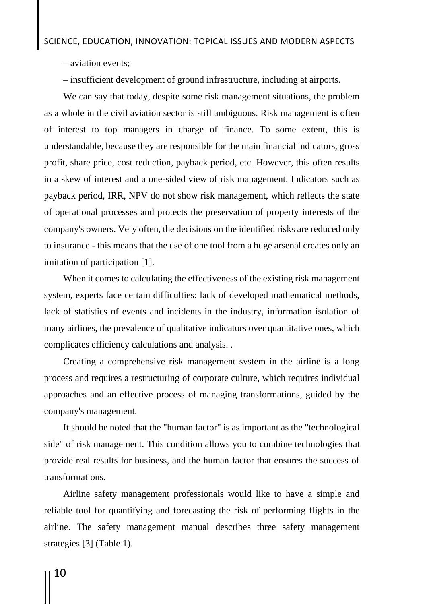– aviation events;

– insufficient development of ground infrastructure, including at airports.

We can say that today, despite some risk management situations, the problem as a whole in the civil aviation sector is still ambiguous. Risk management is often of interest to top managers in charge of finance. To some extent, this is understandable, because they are responsible for the main financial indicators, gross profit, share price, cost reduction, payback period, etc. However, this often results in a skew of interest and a one-sided view of risk management. Indicators such as payback period, IRR, NPV do not show risk management, which reflects the state of operational processes and protects the preservation of property interests of the company's owners. Very often, the decisions on the identified risks are reduced only to insurance - this means that the use of one tool from a huge arsenal creates only an imitation of participation [1].

When it comes to calculating the effectiveness of the existing risk management system, experts face certain difficulties: lack of developed mathematical methods, lack of statistics of events and incidents in the industry, information isolation of many airlines, the prevalence of qualitative indicators over quantitative ones, which complicates efficiency calculations and analysis. .

Creating a comprehensive risk management system in the airline is a long process and requires a restructuring of corporate culture, which requires individual approaches and an effective process of managing transformations, guided by the company's management.

It should be noted that the "human factor" is as important as the "technological side" of risk management. This condition allows you to combine technologies that provide real results for business, and the human factor that ensures the success of transformations.

Airline safety management professionals would like to have a simple and reliable tool for quantifying and forecasting the risk of performing flights in the airline. The safety management manual describes three safety management strategies [3] (Table 1).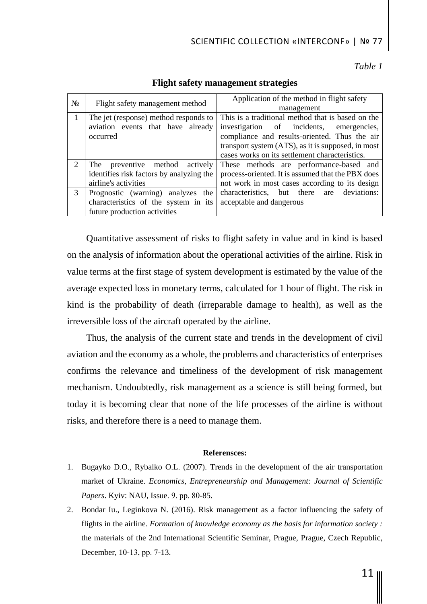## SCIENTIFIC COLLECTION «INTERCONF» | № 77

*Table 1*

| $N_2$                       | Flight safety management method          | Application of the method in flight safety         |
|-----------------------------|------------------------------------------|----------------------------------------------------|
|                             |                                          | management                                         |
| 1                           | The jet (response) method responds to    | This is a traditional method that is based on the  |
|                             | aviation events that have already        | investigation of incidents, emergencies,           |
|                             | occurred                                 | compliance and results-oriented. Thus the air      |
|                             |                                          | transport system (ATS), as it is supposed, in most |
|                             |                                          | cases works on its settlement characteristics.     |
| $\mathcal{D}_{\mathcal{L}}$ | preventive method<br>actively<br>The     | These methods are performance-based and            |
|                             | identifies risk factors by analyzing the | process-oriented. It is assumed that the PBX does  |
|                             | airline's activities                     | not work in most cases according to its design     |
| 3                           | Prognostic (warning) analyzes the        | deviations:<br>characteristics, but there are      |
|                             | characteristics of the system in its     | acceptable and dangerous                           |
|                             | future production activities             |                                                    |

### **Flight safety management strategies**

Quantitative assessment of risks to flight safety in value and in kind is based on the analysis of information about the operational activities of the airline. Risk in value terms at the first stage of system development is estimated by the value of the average expected loss in monetary terms, calculated for 1 hour of flight. The risk in kind is the probability of death (irreparable damage to health), as well as the irreversible loss of the aircraft operated by the airline.

Thus, the analysis of the current state and trends in the development of civil aviation and the economy as a whole, the problems and characteristics of enterprises confirms the relevance and timeliness of the development of risk management mechanism. Undoubtedly, risk management as a science is still being formed, but today it is becoming clear that none of the life processes of the airline is without risks, and therefore there is a need to manage them.

#### **Referensces:**

- 1. Bugayko D.O., Rybalko O.L. (2007). Trends in the development of the air transportation market of Ukraine. *Economics, Entrepreneurship and Management: Journal of Scientific Papers*. Kyiv: NAU, Issue. 9. рр. 80-85.
- 2. Bondar Iu., Leginkova N. (2016). Risk management as a factor influencing the safety of flights in the airline. *Formation of knowledge economy as the basis for information society :*  the materials of the 2nd International Scientific Seminar, Prague, Prague, Czech Republic, December, 10-13, рр. 7-13.